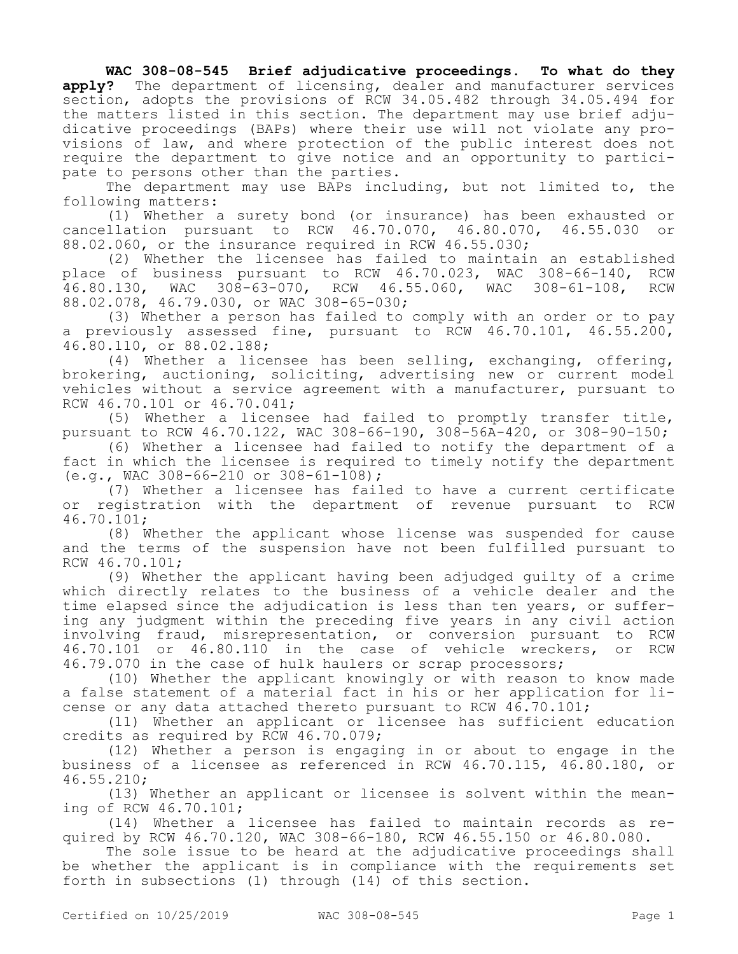## **WAC 308-08-545 Brief adjudicative proceedings. To what do they apply?** The department of licensing, dealer and manufacturer services section, adopts the provisions of RCW 34.05.482 through 34.05.494 for the matters listed in this section. The department may use brief adjudicative proceedings (BAPs) where their use will not violate any provisions of law, and where protection of the public interest does not require the department to give notice and an opportunity to participate to persons other than the parties.

The department may use BAPs including, but not limited to, the following matters:

(1) Whether a surety bond (or insurance) has been exhausted or cancellation pursuant to RCW 46.70.070, 46.80.070, 46.55.030 or 88.02.060, or the insurance required in RCW 46.55.030;

(2) Whether the licensee has failed to maintain an established place of business pursuant to RCW 46.70.023, WAC 308-66-140, RCW 46.80.130, WAC 308-63-070, RCW 46.55.060, WAC 308-61-108, RCW 88.02.078, 46.79.030, or WAC 308-65-030;

(3) Whether a person has failed to comply with an order or to pay a previously assessed fine, pursuant to RCW 46.70.101, 46.55.200, 46.80.110, or 88.02.188;

(4) Whether a licensee has been selling, exchanging, offering, brokering, auctioning, soliciting, advertising new or current model vehicles without a service agreement with a manufacturer, pursuant to RCW 46.70.101 or 46.70.041;

(5) Whether a licensee had failed to promptly transfer title, pursuant to RCW 46.70.122, WAC 308-66-190, 308-56A-420, or 308-90-150;

(6) Whether a licensee had failed to notify the department of a fact in which the licensee is required to timely notify the department (e.g., WAC 308-66-210 or 308-61-108);

(7) Whether a licensee has failed to have a current certificate or registration with the department of revenue pursuant to RCW 46.70.101;

(8) Whether the applicant whose license was suspended for cause and the terms of the suspension have not been fulfilled pursuant to RCW 46.70.101;

(9) Whether the applicant having been adjudged guilty of a crime which directly relates to the business of a vehicle dealer and the time elapsed since the adjudication is less than ten years, or suffering any judgment within the preceding five years in any civil action involving fraud, misrepresentation, or conversion pursuant to RCW 46.70.101 or 46.80.110 in the case of vehicle wreckers, or RCW 46.79.070 in the case of hulk haulers or scrap processors;

(10) Whether the applicant knowingly or with reason to know made a false statement of a material fact in his or her application for license or any data attached thereto pursuant to RCW 46.70.101;

(11) Whether an applicant or licensee has sufficient education credits as required by RCW 46.70.079;

(12) Whether a person is engaging in or about to engage in the business of a licensee as referenced in RCW 46.70.115, 46.80.180, or 46.55.210;

(13) Whether an applicant or licensee is solvent within the meaning of RCW 46.70.101;

(14) Whether a licensee has failed to maintain records as required by RCW 46.70.120, WAC 308-66-180, RCW 46.55.150 or 46.80.080.

The sole issue to be heard at the adjudicative proceedings shall be whether the applicant is in compliance with the requirements set forth in subsections (1) through (14) of this section.